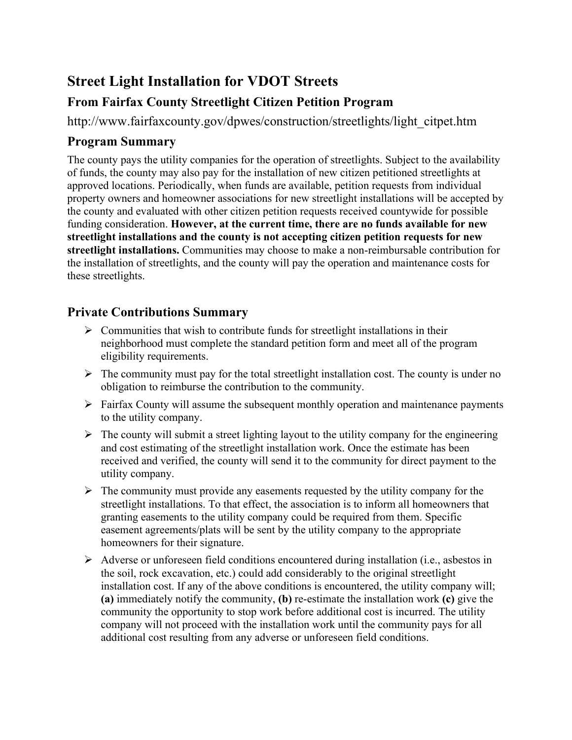## **Street Light Installation for VDOT Streets**

## **From Fairfax County Streetlight Citizen Petition Program**

http://www.fairfaxcounty.gov/dpwes/construction/streetlights/light\_citpet.htm

## **Program Summary**

The county pays the utility companies for the operation of streetlights. Subject to the availability of funds, the county may also pay for the installation of new citizen petitioned streetlights at approved locations. Periodically, when funds are available, petition requests from individual property owners and homeowner associations for new streetlight installations will be accepted by the county and evaluated with other citizen petition requests received countywide for possible funding consideration. **However, at the current time, there are no funds available for new streetlight installations and the county is not accepting citizen petition requests for new streetlight installations.** Communities may choose to make a non-reimbursable contribution for the installation of streetlights, and the county will pay the operation and maintenance costs for these streetlights.

## **Private Contributions Summary**

- $\triangleright$  Communities that wish to contribute funds for streetlight installations in their neighborhood must complete the standard petition form and meet all of the program eligibility requirements.
- $\triangleright$  The community must pay for the total streetlight installation cost. The county is under no obligation to reimburse the contribution to the community.
- $\triangleright$  Fairfax County will assume the subsequent monthly operation and maintenance payments to the utility company.
- $\triangleright$  The county will submit a street lighting layout to the utility company for the engineering and cost estimating of the streetlight installation work. Once the estimate has been received and verified, the county will send it to the community for direct payment to the utility company.
- $\triangleright$  The community must provide any easements requested by the utility company for the streetlight installations. To that effect, the association is to inform all homeowners that granting easements to the utility company could be required from them. Specific easement agreements/plats will be sent by the utility company to the appropriate homeowners for their signature.
- Adverse or unforeseen field conditions encountered during installation (i.e., asbestos in the soil, rock excavation, etc.) could add considerably to the original streetlight installation cost. If any of the above conditions is encountered, the utility company will; **(a)** immediately notify the community, **(b)** re-estimate the installation work **(c)** give the community the opportunity to stop work before additional cost is incurred. The utility company will not proceed with the installation work until the community pays for all additional cost resulting from any adverse or unforeseen field conditions.